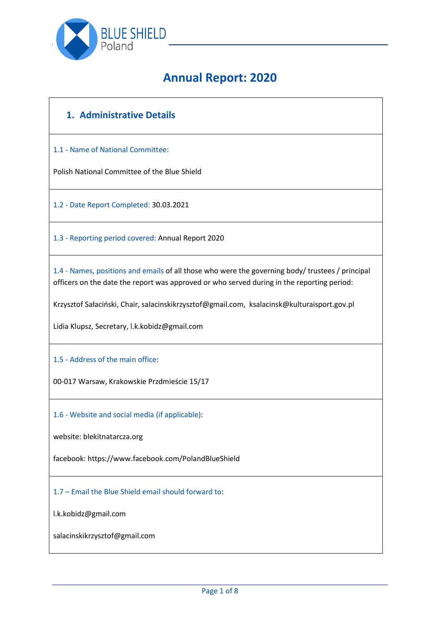

# **Annual Report: 2020**

# **1. Administrative Details**

1.1 - Name of National Committee:

Polish National Committee of the Blue Shield

1.2 - Date Report Completed: 30.03.2021

1.3 - Reporting period covered: Annual Report 2020

1.4 - Names, positions and emails of all those who were the governing body/ trustees / principal officers on the date the report was approved or who served during in the reporting period:

Krzysztof Sałaciński, Chair, salacinskikrzysztof@gmail.com, ksalacinsk@kulturaisport.gov.pl

Lidia Klupsz, Secretary, l.k.kobidz@gmail.com

1.5 - Address of the main office:

00-017 Warsaw, Krakowskie Przdmieście 15/17

1.6 - Website and social media (if applicable):

website: blekitnatarcza.org

facebook: https://www.facebook.com/PolandBlueShield

1.7 – Email the Blue Shield email should forward to:

l.k.kobidz@gmail.com

salacinskikrzysztof@gmail.com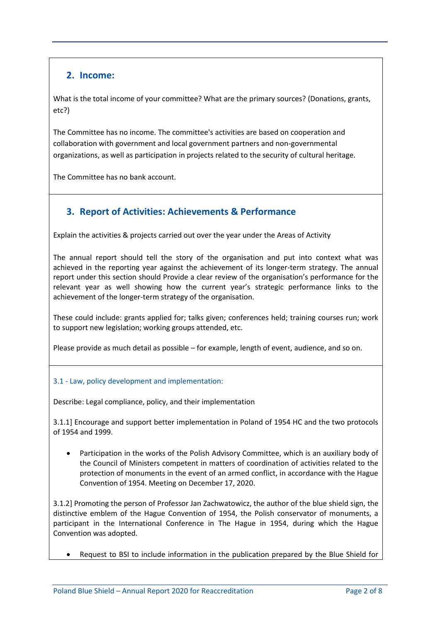### **2. Income:**

What is the total income of your committee? What are the primary sources? (Donations, grants, etc?)

The Committee has no income. The committee's activities are based on cooperation and collaboration with government and local government partners and non-governmental organizations, as well as participation in projects related to the security of cultural heritage.

The Committee has no bank account.

## **3. Report of Activities: Achievements & Performance**

Explain the activities & projects carried out over the year under the Areas of Activity

The annual report should tell the story of the organisation and put into context what was achieved in the reporting year against the achievement of its longer-term strategy. The annual report under this section should Provide a clear review of the organisation's performance for the relevant year as well showing how the current year's strategic performance links to the achievement of the longer-term strategy of the organisation.

These could include: grants applied for; talks given; conferences held; training courses run; work to support new legislation; working groups attended, etc.

Please provide as much detail as possible – for example, length of event, audience, and so on.

#### 3.1 - Law, policy development and implementation:

Describe: Legal compliance, policy, and their implementation

3.1.1] Encourage and support better implementation in Poland of 1954 HC and the two protocols of 1954 and 1999.

 Participation in the works of the Polish Advisory Committee, which is an auxiliary body of the Council of Ministers competent in matters of coordination of activities related to the protection of monuments in the event of an armed conflict, in accordance with the Hague Convention of 1954. Meeting on December 17, 2020.

3.1.2] Promoting the person of Professor Jan Zachwatowicz, the author of the blue shield sign, the distinctive emblem of the Hague Convention of 1954, the Polish conservator of monuments, a participant in the International Conference in The Hague in 1954, during which the Hague Convention was adopted.

• Request to BSI to include information in the publication prepared by the Blue Shield for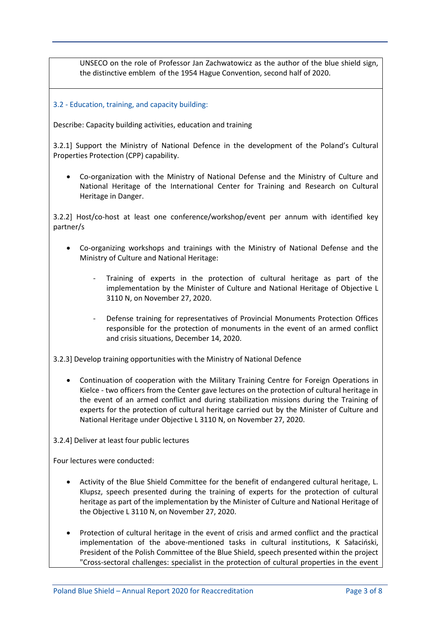UNSECO on the role of Professor Jan Zachwatowicz as the author of the blue shield sign, the distinctive emblem of the 1954 Hague Convention, second half of 2020.

#### 3.2 - Education, training, and capacity building:

Describe: Capacity building activities, education and training

3.2.1] Support the Ministry of National Defence in the development of the Poland's Cultural Properties Protection (CPP) capability.

 Co-organization with the Ministry of National Defense and the Ministry of Culture and National Heritage of the International Center for Training and Research on Cultural Heritage in Danger.

3.2.2] Host/co-host at least one conference/workshop/event per annum with identified key partner/s

- Co-organizing workshops and trainings with the Ministry of National Defense and the Ministry of Culture and National Heritage:
	- Training of experts in the protection of cultural heritage as part of the implementation by the Minister of Culture and National Heritage of Objective L 3110 N, on November 27, 2020.
	- Defense training for representatives of Provincial Monuments Protection Offices responsible for the protection of monuments in the event of an armed conflict and crisis situations, December 14, 2020.

3.2.3] Develop training opportunities with the Ministry of National Defence

 Continuation of cooperation with the Military Training Centre for Foreign Operations in Kielce - two officers from the Center gave lectures on the protection of cultural heritage in the event of an armed conflict and during stabilization missions during the Training of experts for the protection of cultural heritage carried out by the Minister of Culture and National Heritage under Objective L 3110 N, on November 27, 2020.

3.2.4] Deliver at least four public lectures

Four lectures were conducted:

- Activity of the Blue Shield Committee for the benefit of endangered cultural heritage, L. Klupsz, speech presented during the training of experts for the protection of cultural heritage as part of the implementation by the Minister of Culture and National Heritage of the Objective L 3110 N, on November 27, 2020.
- Protection of cultural heritage in the event of crisis and armed conflict and the practical implementation of the above-mentioned tasks in cultural institutions, K Sałaciński, President of the Polish Committee of the Blue Shield, speech presented within the project "Cross-sectoral challenges: specialist in the protection of cultural properties in the event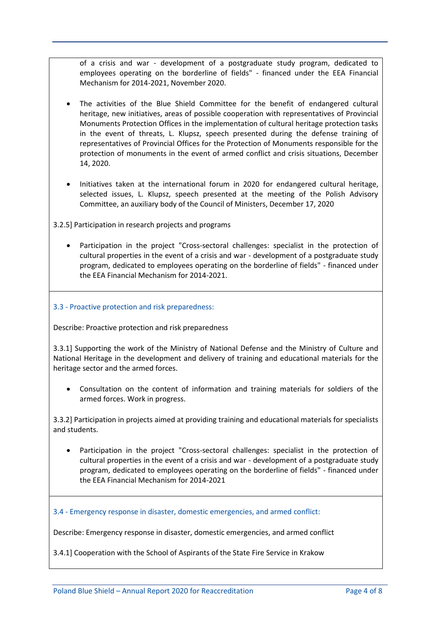of a crisis and war - development of a postgraduate study program, dedicated to employees operating on the borderline of fields" - financed under the EEA Financial Mechanism for 2014-2021, November 2020.

- The activities of the Blue Shield Committee for the benefit of endangered cultural heritage, new initiatives, areas of possible cooperation with representatives of Provincial Monuments Protection Offices in the implementation of cultural heritage protection tasks in the event of threats, L. Klupsz, speech presented during the defense training of representatives of Provincial Offices for the Protection of Monuments responsible for the protection of monuments in the event of armed conflict and crisis situations, December 14, 2020.
- Initiatives taken at the international forum in 2020 for endangered cultural heritage, selected issues, L. Klupsz, speech presented at the meeting of the Polish Advisory Committee, an auxiliary body of the Council of Ministers, December 17, 2020
- 3.2.5] Participation in research projects and programs
	- Participation in the project "Cross-sectoral challenges: specialist in the protection of cultural properties in the event of a crisis and war - development of a postgraduate study program, dedicated to employees operating on the borderline of fields" - financed under the EEA Financial Mechanism for 2014-2021.

#### 3.3 - Proactive protection and risk preparedness:

Describe: Proactive protection and risk preparedness

3.3.1] Supporting the work of the Ministry of National Defense and the Ministry of Culture and National Heritage in the development and delivery of training and educational materials for the heritage sector and the armed forces.

 Consultation on the content of information and training materials for soldiers of the armed forces. Work in progress.

3.3.2] Participation in projects aimed at providing training and educational materials for specialists and students.

 Participation in the project "Cross-sectoral challenges: specialist in the protection of cultural properties in the event of a crisis and war - development of a postgraduate study program, dedicated to employees operating on the borderline of fields" - financed under the EEA Financial Mechanism for 2014-2021

3.4 - Emergency response in disaster, domestic emergencies, and armed conflict:

Describe: Emergency response in disaster, domestic emergencies, and armed conflict

3.4.1] Cooperation with the School of Aspirants of the State Fire Service in Krakow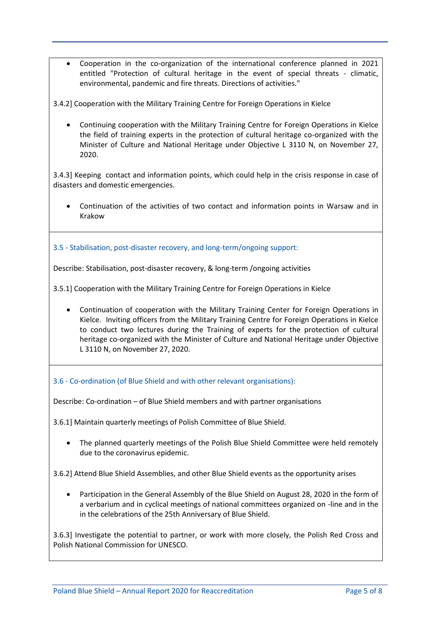Cooperation in the co-organization of the international conference planned in 2021 entitled "Protection of cultural heritage in the event of special threats - climatic, environmental, pandemic and fire threats. Directions of activities."

3.4.2] Cooperation with the Military Training Centre for Foreign Operations in Kielce

 Continuing cooperation with the Military Training Centre for Foreign Operations in Kielce the field of training experts in the protection of cultural heritage co-organized with the Minister of Culture and National Heritage under Objective L 3110 N, on November 27, 2020.

3.4.3] Keeping contact and information points, which could help in the crisis response in case of disasters and domestic emergencies.

 Continuation of the activities of two contact and information points in Warsaw and in Krakow

3.5 - Stabilisation, post-disaster recovery, and long-term/ongoing support:

Describe: Stabilisation, post-disaster recovery, & long-term /ongoing activities

3.5.1] Cooperation with the Military Training Centre for Foreign Operations in Kielce

 Continuation of cooperation with the Military Training Center for Foreign Operations in Kielce. Inviting officers from the Military Training Centre for Foreign Operations in Kielce to conduct two lectures during the Training of experts for the protection of cultural heritage co-organized with the Minister of Culture and National Heritage under Objective L 3110 N, on November 27, 2020.

3.6 - Co-ordination (of Blue Shield and with other relevant organisations):

Describe: Co-ordination – of Blue Shield members and with partner organisations

3.6.1] Maintain quarterly meetings of Polish Committee of Blue Shield.

 The planned quarterly meetings of the Polish Blue Shield Committee were held remotely due to the coronavirus epidemic.

3.6.2] Attend Blue Shield Assemblies, and other Blue Shield events as the opportunity arises

 Participation in the General Assembly of the Blue Shield on August 28, 2020 in the form of a verbarium and in cyclical meetings of national committees organized on -line and in the in the celebrations of the 25th Anniversary of Blue Shield.

3.6.3] Investigate the potential to partner, or work with more closely, the Polish Red Cross and Polish National Commission for UNESCO.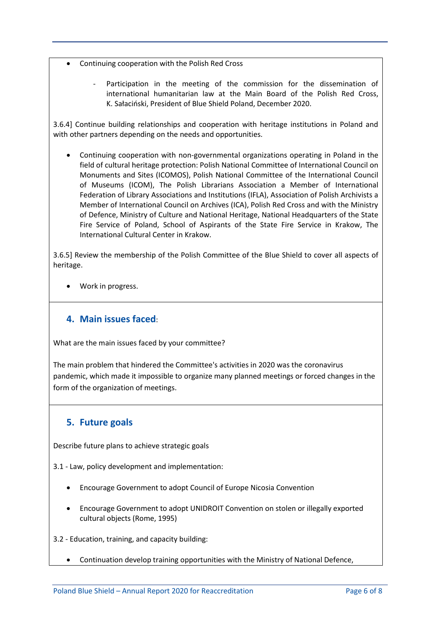- Continuing cooperation with the Polish Red Cross
	- Participation in the meeting of the commission for the dissemination of international humanitarian law at the Main Board of the Polish Red Cross, K. Sałaciński, President of Blue Shield Poland, December 2020.

3.6.4] Continue building relationships and cooperation with heritage institutions in Poland and with other partners depending on the needs and opportunities.

 Continuing cooperation with non-governmental organizations operating in Poland in the field of cultural heritage protection: Polish National Committee of International Council on Monuments and Sites (ICOMOS), Polish National Committee of the International Council of Museums (ICOM), The Polish Librarians Association a Member of International Federation of Library Associations and Institutions (IFLA), Association of Polish Archivists a Member of International Council on Archives (ICA), Polish Red Cross and with the Ministry of Defence, Ministry of Culture and National Heritage, National Headquarters of the State Fire Service of Poland, School of Aspirants of the State Fire Service in Krakow, The International Cultural Center in Krakow.

3.6.5] Review the membership of the Polish Committee of the Blue Shield to cover all aspects of heritage.

Work in progress.

### **4. Main issues faced**:

What are the main issues faced by your committee?

The main problem that hindered the Committee's activities in 2020 was the coronavirus pandemic, which made it impossible to organize many planned meetings or forced changes in the form of the organization of meetings.

### **5. Future goals**

Describe future plans to achieve strategic goals

3.1 - Law, policy development and implementation:

- Encourage Government to adopt Council of Europe Nicosia Convention
- Encourage Government to adopt UNIDROIT Convention on stolen or illegally exported cultural objects (Rome, 1995)

3.2 - Education, training, and capacity building:

Continuation develop training opportunities with the Ministry of National Defence,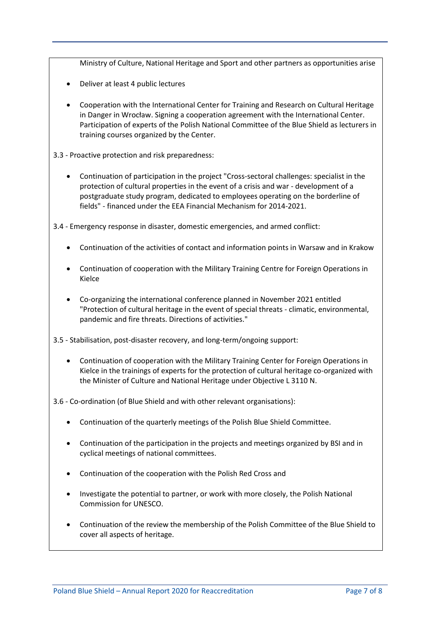Ministry of Culture, National Heritage and Sport and other partners as opportunities arise

- Deliver at least 4 public lectures
- Cooperation with the International Center for Training and Research on Cultural Heritage in Danger in Wrocław. Signing a cooperation agreement with the International Center. Participation of experts of the Polish National Committee of the Blue Shield as lecturers in training courses organized by the Center.

3.3 - Proactive protection and risk preparedness:

 Continuation of participation in the project "Cross-sectoral challenges: specialist in the protection of cultural properties in the event of a crisis and war - development of a postgraduate study program, dedicated to employees operating on the borderline of fields" - financed under the EEA Financial Mechanism for 2014-2021.

3.4 - Emergency response in disaster, domestic emergencies, and armed conflict:

- Continuation of the activities of contact and information points in Warsaw and in Krakow
- Continuation of cooperation with the Military Training Centre for Foreign Operations in Kielce
- Co-organizing the international conference planned in November 2021 entitled "Protection of cultural heritage in the event of special threats - climatic, environmental, pandemic and fire threats. Directions of activities."

3.5 - Stabilisation, post-disaster recovery, and long-term/ongoing support:

 Continuation of cooperation with the Military Training Center for Foreign Operations in Kielce in the trainings of experts for the protection of cultural heritage co-organized with the Minister of Culture and National Heritage under Objective L 3110 N.

3.6 - Co-ordination (of Blue Shield and with other relevant organisations):

- Continuation of the quarterly meetings of the Polish Blue Shield Committee.
- Continuation of the participation in the projects and meetings organized by BSI and in cyclical meetings of national committees.
- Continuation of the cooperation with the Polish Red Cross and
- Investigate the potential to partner, or work with more closely, the Polish National Commission for UNESCO.
- Continuation of the review the membership of the Polish Committee of the Blue Shield to cover all aspects of heritage.